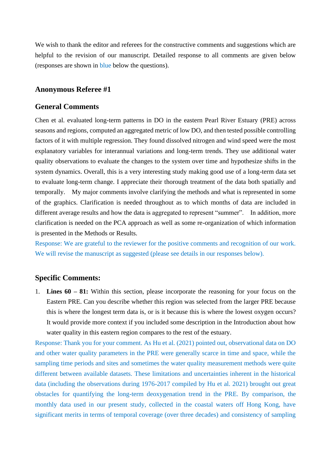We wish to thank the editor and referees for the constructive comments and suggestions which are helpful to the revision of our manuscript. Detailed response to all comments are given below (responses are shown in blue below the questions).

# **Anonymous Referee #1**

### **General Comments**

Chen et al. evaluated long-term patterns in DO in the eastern Pearl River Estuary (PRE) across seasons and regions, computed an aggregated metric of low DO, and then tested possible controlling factors of it with multiple regression. They found dissolved nitrogen and wind speed were the most explanatory variables for interannual variations and long-term trends. They use additional water quality observations to evaluate the changes to the system over time and hypothesize shifts in the system dynamics. Overall, this is a very interesting study making good use of a long-term data set to evaluate long-term change. I appreciate their thorough treatment of the data both spatially and temporally. My major comments involve clarifying the methods and what is represented in some of the graphics. Clarification is needed throughout as to which months of data are included in different average results and how the data is aggregated to represent "summer". In addition, more clarification is needed on the PCA approach as well as some re-organization of which information is presented in the Methods or Results.

Response: We are grateful to the reviewer for the positive comments and recognition of our work. We will revise the manuscript as suggested (please see details in our responses below).

### **Specific Comments:**

1. **Lines 60 – 81:** Within this section, please incorporate the reasoning for your focus on the Eastern PRE. Can you describe whether this region was selected from the larger PRE because this is where the longest term data is, or is it because this is where the lowest oxygen occurs? It would provide more context if you included some description in the Introduction about how water quality in this eastern region compares to the rest of the estuary.

Response: Thank you for your comment. As Hu et al. (2021) pointed out, observational data on DO and other water quality parameters in the PRE were generally scarce in time and space, while the sampling time periods and sites and sometimes the water quality measurement methods were quite different between available datasets. These limitations and uncertainties inherent in the historical data (including the observations during 1976-2017 compiled by Hu et al. 2021) brought out great obstacles for quantifying the long-term deoxygenation trend in the PRE. By comparison, the monthly data used in our present study, collected in the coastal waters off Hong Kong, have significant merits in terms of temporal coverage (over three decades) and consistency of sampling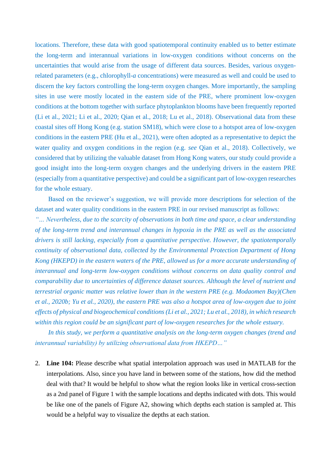locations. Therefore, these data with good spatiotemporal continuity enabled us to better estimate the long-term and interannual variations in low-oxygen conditions without concerns on the uncertainties that would arise from the usage of different data sources. Besides, various oxygenrelated parameters (e.g., chlorophyll-*a* concentrations) were measured as well and could be used to discern the key factors controlling the long-term oxygen changes. More importantly, the sampling sites in use were mostly located in the eastern side of the PRE, where prominent low-oxygen conditions at the bottom together with surface phytoplankton blooms have been frequently reported (Li et al., 2021; Li et al., 2020; Qian et al., 2018; Lu et al., 2018). Observational data from these coastal sites off Hong Kong (e.g. station SM18), which were close to a hotspot area of low-oxygen conditions in the eastern PRE (Hu et al., 2021), were often adopted as a representative to depict the water quality and oxygen conditions in the region (e.g. *see* Qian et al., 2018). Collectively, we considered that by utilizing the valuable dataset from Hong Kong waters, our study could provide a good insight into the long-term oxygen changes and the underlying drivers in the eastern PRE (especially from a quantitative perspective) and could be a significant part of low-oxygen researches for the whole estuary.

Based on the reviewer's suggestion, we will provide more descriptions for selection of the dataset and water quality conditions in the eastern PRE in our revised manuscript as follows:

*"… Nevertheless, due to the scarcity of observations in both time and space, a clear understanding of the long-term trend and interannual changes in hypoxia in the PRE as well as the associated drivers is still lacking, especially from a quantitative perspective. However, the spatiotemporally continuity of observational data, collected by the Environmental Protection Department of Hong Kong (HKEPD) in the eastern waters of the PRE, allowed us for a more accurate understanding of interannual and long-term low-oxygen conditions without concerns on data quality control and comparability due to uncertainties of difference dataset sources. Although the level of nutrient and terrestrial organic matter was relative lower than in the western PRE (e.g. Modaomen Bay)(Chen et al., 2020b; Yu et al., 2020), the eastern PRE was also a hotspot area of low-oxygen due to joint effects of physical and biogeochemical conditions (Li et al., 2021; Lu et al., 2018), in which research within this region could be an significant part of low-oxygen researches for the whole estuary.*

*In this study, we perform a quantitative analysis on the long-term oxygen changes (trend and interannual variability) by utilizing observational data from HKEPD…"*

2. **Line 104:** Please describe what spatial interpolation approach was used in MATLAB for the interpolations. Also, since you have land in between some of the stations, how did the method deal with that? It would be helpful to show what the region looks like in vertical cross-section as a 2nd panel of Figure 1 with the sample locations and depths indicated with dots. This would be like one of the panels of Figure A2, showing which depths each station is sampled at. This would be a helpful way to visualize the depths at each station.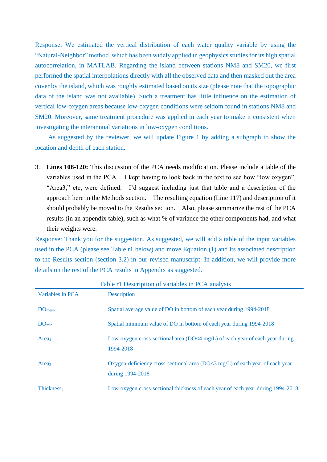Response: We estimated the vertical distribution of each water quality variable by using the "Natural-Neighbor" method, which has been widely applied in geophysics studies for its high spatial autocorrelation, in MATLAB. Regarding the island between stations NM8 and SM20, we first performed the spatial interpolations directly with all the observed data and then masked out the area cover by the island, which was roughly estimated based on its size (please note that the topographic data of the island was not available). Such a treatment has little influence on the estimation of vertical low-oxygen areas because low-oxygen conditions were seldom found in stations NM8 and SM20. Moreover, same treatment procedure was applied in each year to make it consistent when investigating the interannual variations in low-oxygen conditions.

As suggested by the reviewer, we will update Figure 1 by adding a subgraph to show the location and depth of each station.

3. **Lines 108-120:** This discussion of the PCA needs modification. Please include a table of the variables used in the PCA. I kept having to look back in the text to see how "low oxygen", "Area3," etc, were defined. I'd suggest including just that table and a description of the approach here in the Methods section. The resulting equation (Line 117) and description of it should probably be moved to the Results section. Also, please summarize the rest of the PCA results (in an appendix table), such as what % of variance the other components had, and what their weights were.

Response: Thank you for the suggestion. As suggested, we will add a table of the input variables used in the PCA (please see Table r1 below) and move Equation (1) and its associated description to the Results section (section 3.2) in our revised manuscript. In addition, we will provide more details on the rest of the PCA results in Appendix as suggested.

| Variables in PCA       | Table 11 Description of variables in TCA analysis<br><b>Description</b>                            |
|------------------------|----------------------------------------------------------------------------------------------------|
| $DO_{mean}$            | Spatial average value of DO in bottom of each year during 1994-2018                                |
| DO <sub>min</sub>      | Spatial minimum value of DO in bottom of each year during 1994-2018                                |
| Area <sub>4</sub>      | Low-oxygen cross-sectional area (DO<4 mg/L) of each year of each year during<br>1994-2018          |
| Area <sub>3</sub>      | Oxygen-deficiency cross-sectional area $(DO<3 mg/L)$ of each year of each year<br>during 1994-2018 |
| Thickness <sub>4</sub> | Low-oxygen cross-sectional thickness of each year of each year during 1994-2018                    |

Table r1 Description of variables in PCA analysis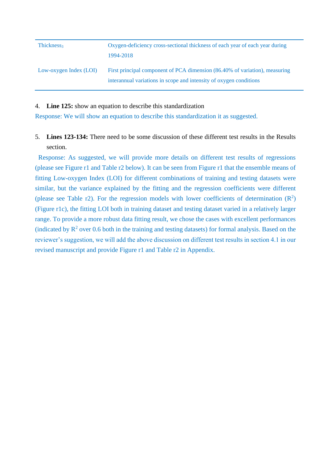| Thickness <sub>3</sub> | Oxygen-deficiency cross-sectional thickness of each year of each year during<br>1994-2018                                                         |
|------------------------|---------------------------------------------------------------------------------------------------------------------------------------------------|
| Low-oxygen Index (LOI) | First principal component of PCA dimension (86.40% of variation), measuring<br>interannual variations in scope and intensity of oxygen conditions |

4. **Line 125:** show an equation to describe this standardization

Response: We will show an equation to describe this standardization it as suggested.

5. **Lines 123-134:** There need to be some discussion of these different test results in the Results section.

Response: As suggested, we will provide more details on different test results of regressions (please see Figure r1 and Table r2 below). It can be seen from Figure r1 that the ensemble means of fitting Low-oxygen Index (LOI) for different combinations of training and testing datasets were similar, but the variance explained by the fitting and the regression coefficients were different (please see Table r2). For the regression models with lower coefficients of determination  $(R^2)$ (Figure r1c), the fitting LOI both in training dataset and testing dataset varied in a relatively larger range. To provide a more robust data fitting result, we chose the cases with excellent performances (indicated by  $\mathbb{R}^2$  over 0.6 both in the training and testing datasets) for formal analysis. Based on the reviewer's suggestion, we will add the above discussion on different test results in section 4.1 in our revised manuscript and provide Figure r1 and Table r2 in Appendix.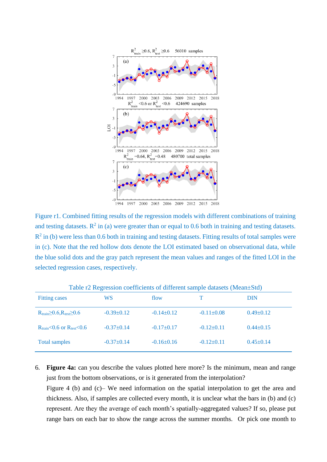

Figure r1. Combined fitting results of the regression models with different combinations of training and testing datasets.  $R^2$  in (a) were greater than or equal to 0.6 both in training and testing datasets.  $R<sup>2</sup>$  in (b) were less than 0.6 both in training and testing datasets. Fitting results of total samples were in (c). Note that the red hollow dots denote the LOI estimated based on observational data, while the blue solid dots and the gray patch represent the mean values and ranges of the fitted LOI in the selected regression cases, respectively.

| <b>Fitting cases</b>                                  | WS               | flow           |                  | <b>DIN</b>      |
|-------------------------------------------------------|------------------|----------------|------------------|-----------------|
| $R_{\text{train}} \geq 0.6, R_{\text{test}} \geq 0.6$ | $-0.39 \pm 0.12$ | $-0.14\pm0.12$ | $-0.11 \pm 0.08$ | $0.49 \pm 0.12$ |
| $R_{\text{train}} < 0.6$ or $R_{\text{test}} < 0.6$   | $-0.37+0.14$     | $-0.17+0.17$   | $-0.12\pm0.11$   | $0.44 \pm 0.15$ |
| <b>Total samples</b>                                  | $-0.37+0.14$     | $-0.16\pm0.16$ | $-0.12\pm0.11$   | $0.45 \pm 0.14$ |

Table r2 Regression coefficients of different sample datasets (Mean±Std)

6. **Figure 4a:** can you describe the values plotted here more? Is the minimum, mean and range just from the bottom observations, or is it generated from the interpolation?

Figure 4 (b) and (c)– We need information on the spatial interpolation to get the area and thickness. Also, if samples are collected every month, it is unclear what the bars in (b) and (c) represent. Are they the average of each month's spatially-aggregated values? If so, please put range bars on each bar to show the range across the summer months. Or pick one month to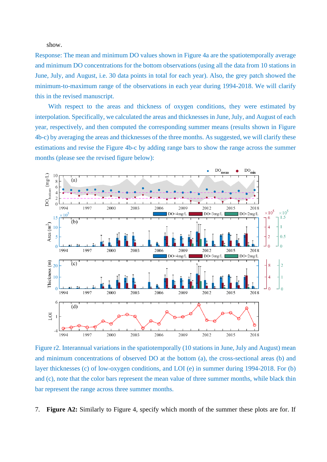show.

Response: The mean and minimum DO values shown in Figure 4a are the spatiotemporally average and minimum DO concentrations for the bottom observations (using all the data from 10 stations in June, July, and August, i.e. 30 data points in total for each year). Also, the grey patch showed the minimum-to-maximum range of the observations in each year during 1994-2018. We will clarify this in the revised manuscript.

With respect to the areas and thickness of oxygen conditions, they were estimated by interpolation. Specifically, we calculated the areas and thicknesses in June, July, and August of each year, respectively, and then computed the corresponding summer means (results shown in Figure 4b-c) by averaging the areas and thicknesses of the three months. As suggested, we will clarify these estimations and revise the Figure 4b-c by adding range bars to show the range across the summer months (please see the revised figure below):



Figure r2. Interannual variations in the spatiotemporally (10 stations in June, July and August) mean and minimum concentrations of observed DO at the bottom (a), the cross-sectional areas (b) and layer thicknesses (c) of low-oxygen conditions, and LOI (e) in summer during 1994-2018. For (b) and (c), note that the color bars represent the mean value of three summer months, while black thin bar represent the range across three summer months.

7. **Figure A2:** Similarly to Figure 4, specify which month of the summer these plots are for. If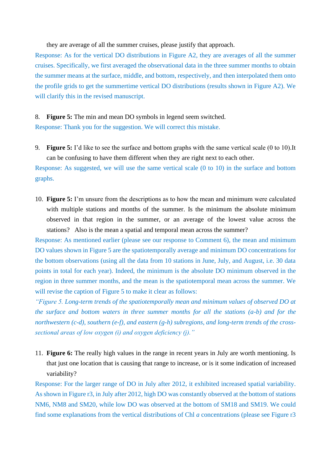they are average of all the summer cruises, please justify that approach.

Response: As for the vertical DO distributions in Figure A2, they are averages of all the summer cruises. Specifically, we first averaged the observational data in the three summer months to obtain the summer means at the surface, middle, and bottom, respectively, and then interpolated them onto the profile grids to get the summertime vertical DO distributions (results shown in Figure A2). We will clarify this in the revised manuscript.

8. **Figure 5:** The min and mean DO symbols in legend seem switched.

Response: Thank you for the suggestion. We will correct this mistake.

9. **Figure 5:** I'd like to see the surface and bottom graphs with the same vertical scale (0 to 10).It can be confusing to have them different when they are right next to each other.

Response: As suggested, we will use the same vertical scale (0 to 10) in the surface and bottom graphs.

10. **Figure 5:** I'm unsure from the descriptions as to how the mean and minimum were calculated with multiple stations and months of the summer. Is the minimum the absolute minimum observed in that region in the summer, or an average of the lowest value across the stations? Also is the mean a spatial and temporal mean across the summer?

Response: As mentioned earlier (please see our response to Comment 6), the mean and minimum DO values shown in Figure 5 are the spatiotemporally average and minimum DO concentrations for the bottom observations (using all the data from 10 stations in June, July, and August, i.e. 30 data points in total for each year). Indeed, the minimum is the absolute DO minimum observed in the region in three summer months, and the mean is the spatiotemporal mean across the summer. We will revise the caption of Figure 5 to make it clear as follows:

*"Figure 5. Long-term trends of the spatiotemporally mean and minimum values of observed DO at the surface and bottom waters in three summer months for all the stations (a-b) and for the northwestern (c-d), southern (e-f), and eastern (g-h) subregions, and long-term trends of the crosssectional areas of low oxygen (i) and oxygen deficiency (j)."*

11. **Figure 6:** The really high values in the range in recent years in July are worth mentioning. Is that just one location that is causing that range to increase, or is it some indication of increased variability?

Response: For the larger range of DO in July after 2012, it exhibited increased spatial variability. As shown in Figure r3, in July after 2012, high DO was constantly observed at the bottom of stations NM6, NM8 and SM20, while low DO was observed at the bottom of SM18 and SM19. We could find some explanations from the vertical distributions of Chl *a* concentrations (please see Figure r3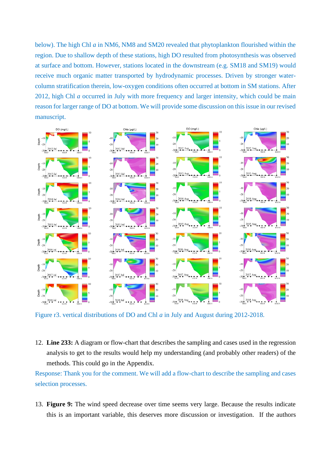below). The high Chl *a* in NM6, NM8 and SM20 revealed that phytoplankton flourished within the region. Due to shallow depth of these stations, high DO resulted from photosynthesis was observed at surface and bottom. However, stations located in the downstream (e.g. SM18 and SM19) would receive much organic matter transported by hydrodynamic processes. Driven by stronger watercolumn stratification therein, low-oxygen conditions often occurred at bottom in SM stations. After 2012, high Chl *a* occurred in July with more frequency and larger intensity, which could be main reason for larger range of DO at bottom. We will provide some discussion on this issue in our revised manuscript.



Figure r3. vertical distributions of DO and Chl *a* in July and August during 2012-2018.

12. **Line 233:** A diagram or flow-chart that describes the sampling and cases used in the regression analysis to get to the results would help my understanding (and probably other readers) of the methods. This could go in the Appendix.

Response: Thank you for the comment. We will add a flow-chart to describe the sampling and cases selection processes.

13. **Figure 9:** The wind speed decrease over time seems very large. Because the results indicate this is an important variable, this deserves more discussion or investigation. If the authors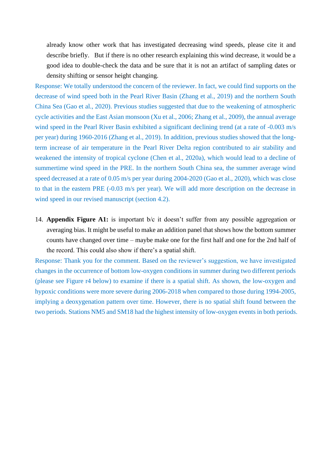already know other work that has investigated decreasing wind speeds, please cite it and describe briefly. But if there is no other research explaining this wind decrease, it would be a good idea to double-check the data and be sure that it is not an artifact of sampling dates or density shifting or sensor height changing.

Response: We totally understood the concern of the reviewer. In fact, we could find supports on the decrease of wind speed both in the Pearl River Basin (Zhang et al., 2019) and the northern South China Sea (Gao et al., 2020). Previous studies suggested that due to the weakening of atmospheric cycle activities and the East Asian monsoon (Xu et al., 2006; Zhang et al., 2009), the annual average wind speed in the Pearl River Basin exhibited a significant declining trend (at a rate of -0.003 m/s per year) during 1960-2016 (Zhang et al., 2019). In addition, previous studies showed that the longterm increase of air temperature in the Pearl River Delta region contributed to air stability and weakened the intensity of tropical cyclone (Chen et al., 2020a), which would lead to a decline of summertime wind speed in the PRE. In the northern South China sea, the summer average wind speed decreased at a rate of 0.05 m/s per year during 2004-2020 (Gao et al., 2020), which was close to that in the eastern PRE (-0.03 m/s per year). We will add more description on the decrease in wind speed in our revised manuscript (section 4.2).

14. **Appendix Figure A1:** is important b/c it doesn't suffer from any possible aggregation or averaging bias. It might be useful to make an addition panel that shows how the bottom summer counts have changed over time – maybe make one for the first half and one for the 2nd half of the record. This could also show if there's a spatial shift.

Response: Thank you for the comment. Based on the reviewer's suggestion, we have investigated changes in the occurrence of bottom low-oxygen conditions in summer during two different periods (please see Figure r4 below) to examine if there is a spatial shift. As shown, the low-oxygen and hypoxic conditions were more severe during 2006-2018 when compared to those during 1994-2005, implying a deoxygenation pattern over time. However, there is no spatial shift found between the two periods. Stations NM5 and SM18 had the highest intensity of low-oxygen events in both periods.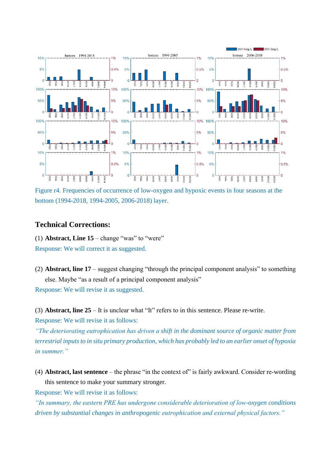

Figure r4. Frequencies of occurrence of low-oxygen and hypoxic events in four seasons at the bottom (1994-2018, 1994-2005, 2006-2018) layer.

### **Technical Corrections:**

(1) **Abstract, Line 15** – change "was" to "were" Response: We will correct it as suggested.

(2) **Abstract, line 17** – suggest changing "through the principal component analysis" to something else. Maybe "as a result of a principal component analysis" Response: We will revise it as suggested.

(3) **Abstract, line 25** – It is unclear what "It" refers to in this sentence. Please re-write.

Response: We will revise it as follows:

*"The deteriorating eutrophication has driven a shift in the dominant source of organic matter from terrestrial inputs to in situ primary production, which has probably led to an earlier onset of hypoxia in summer."*

(4) **Abstract, last sentence** – the phrase "in the context of" is fairly awkward. Consider re-wording this sentence to make your summary stronger.

Response: We will revise it as follows:

*"In summary, the eastern PRE has undergone considerable deterioration of low-oxygen conditions driven by substantial changes in anthropogenic eutrophication and external physical factors."*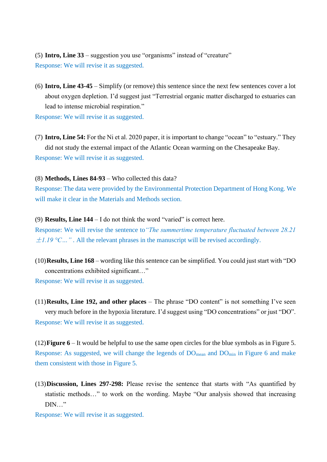(5) **Intro, Line 33** – suggestion you use "organisms" instead of "creature" Response: We will revise it as suggested.

(6) **Intro, Line 43-45** – Simplify (or remove) this sentence since the next few sentences cover a lot about oxygen depletion. I'd suggest just "Terrestrial organic matter discharged to estuaries can lead to intense microbial respiration."

Response: We will revise it as suggested.

(7) **Intro, Line 54:** For the Ni et al. 2020 paper, it is important to change "ocean" to "estuary." They did not study the external impact of the Atlantic Ocean warming on the Chesapeake Bay. Response: We will revise it as suggested.

(8) **Methods, Lines 84-93** – Who collected this data?

Response: The data were provided by the Environmental Protection Department of Hong Kong. We will make it clear in the Materials and Methods section.

(9) **Results, Line 144** – I do not think the word "varied" is correct here.

Response: We will revise the sentence to*"The summertime temperature fluctuated between 28.21*  $\pm$ 1.19 °C…". All the relevant phrases in the manuscript will be revised accordingly.

(10)**Results, Line 168** – wording like this sentence can be simplified. You could just start with "DO concentrations exhibited significant…"

Response: We will revise it as suggested.

(11)**Results, Line 192, and other places** – The phrase "DO content" is not something I've seen very much before in the hypoxia literature. I'd suggest using "DO concentrations" or just "DO". Response: We will revise it as suggested.

(12)**Figure 6** – It would be helpful to use the same open circles for the blue symbols as in Figure 5. Response: As suggested, we will change the legends of  $DO_{mean}$  and  $DO_{min}$  in Figure 6 and make them consistent with those in Figure 5.

(13)**Discussion, Lines 297-298:** Please revise the sentence that starts with "As quantified by statistic methods…" to work on the wording. Maybe "Our analysis showed that increasing  $DIN..."$ 

Response: We will revise it as suggested.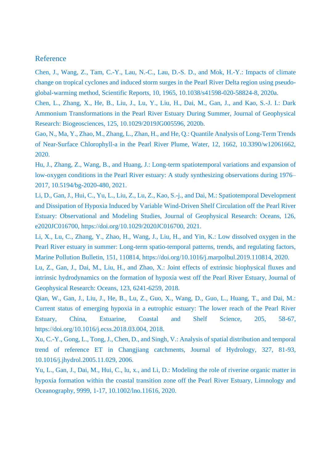# Reference

Chen, J., Wang, Z., Tam, C.-Y., Lau, N.-C., Lau, D.-S. D., and Mok, H.-Y.: Impacts of climate change on tropical cyclones and induced storm surges in the Pearl River Delta region using pseudoglobal-warming method, Scientific Reports, 10, 1965, 10.1038/s41598-020-58824-8, 2020a.

Chen, L., Zhang, X., He, B., Liu, J., Lu, Y., Liu, H., Dai, M., Gan, J., and Kao, S.-J. I.: Dark Ammonium Transformations in the Pearl River Estuary During Summer, Journal of Geophysical Research: Biogeosciences, 125, 10.1029/2019JG005596, 2020b.

Gao, N., Ma, Y., Zhao, M., Zhang, L., Zhan, H., and He, Q.: Quantile Analysis of Long-Term Trends of Near-Surface Chlorophyll-a in the Pearl River Plume, Water, 12, 1662, 10.3390/w12061662, 2020.

Hu, J., Zhang, Z., Wang, B., and Huang, J.: Long-term spatiotemporal variations and expansion of low-oxygen conditions in the Pearl River estuary: A study synthesizing observations during 1976– 2017, 10.5194/bg-2020-480, 2021.

Li, D., Gan, J., Hui, C., Yu, L., Liu, Z., Lu, Z., Kao, S.-j., and Dai, M.: Spatiotemporal Development and Dissipation of Hypoxia Induced by Variable Wind-Driven Shelf Circulation off the Pearl River Estuary: Observational and Modeling Studies, Journal of Geophysical Research: Oceans, 126, e2020JC016700, https://doi.org/10.1029/2020JC016700, 2021.

Li, X., Lu, C., Zhang, Y., Zhao, H., Wang, J., Liu, H., and Yin, K.: Low dissolved oxygen in the Pearl River estuary in summer: Long-term spatio-temporal patterns, trends, and regulating factors, Marine Pollution Bulletin, 151, 110814, https://doi.org/10.1016/j.marpolbul.2019.110814, 2020.

Lu, Z., Gan, J., Dai, M., Liu, H., and Zhao, X.: Joint effects of extrinsic biophysical fluxes and intrinsic hydrodynamics on the formation of hypoxia west off the Pearl River Estuary, Journal of Geophysical Research: Oceans, 123, 6241-6259, 2018.

Qian, W., Gan, J., Liu, J., He, B., Lu, Z., Guo, X., Wang, D., Guo, L., Huang, T., and Dai, M.: Current status of emerging hypoxia in a eutrophic estuary: The lower reach of the Pearl River Estuary, China, Estuarine, Coastal and Shelf Science, 205, 58-67, https://doi.org/10.1016/j.ecss.2018.03.004, 2018.

Xu, C.-Y., Gong, L., Tong, J., Chen, D., and Singh, V.: Analysis of spatial distribution and temporal trend of reference ET in Changjiang catchments, Journal of Hydrology, 327, 81-93, 10.1016/j.jhydrol.2005.11.029, 2006.

Yu, L., Gan, J., Dai, M., Hui, C., lu, x., and Li, D.: Modeling the role of riverine organic matter in hypoxia formation within the coastal transition zone off the Pearl River Estuary, Limnology and Oceanography, 9999, 1-17, 10.1002/lno.11616, 2020.